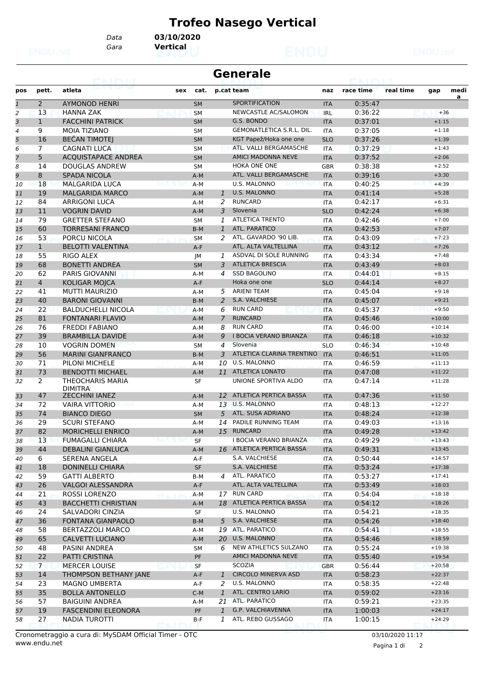## **Trofeo Nasego Vertical**

*Gara* **Vertical**

*Data* **03/10/2020**

|                |                | eansi                              |     |           | <b>Generale</b> |                               |            |           |           |          |      |
|----------------|----------------|------------------------------------|-----|-----------|-----------------|-------------------------------|------------|-----------|-----------|----------|------|
| pos            | pett.          | atleta                             | sex | cat.      |                 | p.cat team                    | naz        | race time | real time | gap      | medi |
| $\overline{1}$ | $\overline{2}$ | <b>AYMONOD HENRI</b>               |     | <b>SM</b> |                 | SPORTIFICATION                | <b>ITA</b> | 0:35:47   |           |          | a    |
| 2              | 13             | <b>HANNA ZAK</b>                   |     | <b>SM</b> |                 | NEWCASTLE AC/SALOMON          | <b>IRL</b> | 0:36:22   |           | $+36$    |      |
| 3              | $\mathbf{1}$   | <b>FACCHINI PATRICK</b>            |     | <b>SM</b> |                 | G.S. BONDO                    | <b>ITA</b> | 0:37:01   |           | $+1:15$  |      |
| 4              | 9              | <b>MOIA TIZIANO</b>                |     | <b>SM</b> |                 | GEMONATLETICA S.R.L. DIL.     | <b>ITA</b> | 0:37:05   |           | $+1:18$  |      |
| 5              | 16             | <b>BEČAN TIMOTEJ</b>               |     | <b>SM</b> |                 | KGT Papež/Hoka one one        | <b>SLO</b> | 0:37:26   |           | $+1:39$  |      |
| 6              | $\overline{7}$ | <b>CAGNATI LUCA</b>                |     | <b>SM</b> |                 | ATL. VALLI BERGAMASCHE        | <b>ITA</b> | 0:37:29   |           | $+1:43$  |      |
| 7              | 5              | <b>ACQUISTAPACE ANDREA</b>         |     | <b>SM</b> |                 | <b>AMICI MADONNA NEVE</b>     | <b>ITA</b> | 0:37:52   |           | $+2:06$  |      |
| 8              | 14             | DOUGLAS ANDREW                     |     | <b>SM</b> |                 | HOKA ONE ONE                  | <b>GBR</b> | 0:38:38   |           | $+2:52$  |      |
| 9              | 8              | <b>SPADA NICOLA</b>                |     | $A-M$     |                 | ATL. VALLI BERGAMASCHE        | <b>ITA</b> | 0:39:16   |           | $+3:30$  |      |
| 10             | 18             | <b>MALGARIDA LUCA</b>              |     | $A-M$     |                 | <b>U.S. MALONNO</b>           | <b>ITA</b> | 0:40:25   |           | $+4:39$  |      |
| 11             | 19             | <b>MALGARIDA MARCO</b>             |     | $A-M$     | 1               | <b>U.S. MALONNO</b>           | <b>ITA</b> | 0:41:14   |           | $+5:28$  |      |
| 12             | 84             | ARRIGONI LUCA                      |     | A-M       | 2               | <b>RUNCARD</b>                | ITA        | 0:42:17   |           | $+6:31$  |      |
| 13             | 11             | <b>VOGRIN DAVID</b>                |     | $A-M$     | 3               | Slovenia                      | <b>SLO</b> | 0:42:24   |           | $+6:38$  |      |
| 14             | 79             | <b>GRETTER STEFANO</b>             |     | <b>SM</b> | 1               | <b>ATLETICA TRENTO</b>        | <b>ITA</b> | 0:42:46   |           | $+7:00$  |      |
| 15             | 60             | <b>TORRESANI FRANCO</b>            |     | $B-M$     | $\mathbf{1}$    | <b>ATL. PARATICO</b>          | <b>ITA</b> | 0:42:53   |           | $+7:07$  |      |
| 16             | 53             | PORCU NICOLA                       |     | SM        | 2               | ATL. GAVARDO '90 LIB.         | <b>ITA</b> | 0:43:09   |           | $+7:23$  |      |
| 17             | $\mathbf{1}$   | <b>BELOTTI VALENTINA</b>           |     | $A-F$     |                 | ATL. ALTA VALTELLINA          | <b>ITA</b> | 0:43:12   |           | $+7:26$  |      |
| 18             | 55             | RIGO ALEX                          |     | JМ        | $\mathbf{1}$    | ASDVAL DI SOLE RUNNING        | <b>ITA</b> | 0:43:34   |           | $+7:48$  |      |
| 19             | 68             | <b>BONETTI ANDREA</b>              |     | <b>SM</b> | 3               | <b>ATLETICA BRESCIA</b>       | <b>ITA</b> | 0:43:49   |           | $+8:03$  |      |
| 20             | 62             | <b>PARIS GIOVANNI</b>              |     | A-M       | 4               | <b>SSD BAGOLINO</b>           | <b>ITA</b> | 0:44:01   |           | $+8:15$  |      |
| 21             | 4              | <b>KOLIGAR MOJCA</b>               |     | A-F       |                 | Hoka one one                  | <b>SLO</b> | 0:44:14   |           | $+8:27$  |      |
| 22             | 41             | <b>MUTTI MAURIZIO</b>              |     | A-M       | 5               | <b>ARIENI TEAM</b>            | <b>ITA</b> | 0:45:04   |           | $+9:18$  |      |
| 23             | 40             | <b>BARONI GIOVANNI</b>             |     | $B-M$     | 2               | S.A. VALCHIESE                | <b>ITA</b> | 0:45:07   |           | $+9:21$  |      |
| 24             | 22             | <b>BALDUCHELLI NICOLA</b>          |     | $A-M$     | 6               | <b>RUN CARD</b>               | <b>ITA</b> | 0:45:37   |           | $+9:50$  |      |
| 25             | 81             | <b>FONTANARI FLAVIO</b>            |     | $A-M$     | $\overline{7}$  | <b>RUNCARD</b>                | <b>ITA</b> | 0:45:46   |           | $+10:00$ |      |
|                | 76             | <b>FREDDI FABIANO</b>              |     |           | 8               | <b>RUN CARD</b>               |            | 0:46:00   |           | $+10:14$ |      |
| 26             | 39             | <b>BRAMBILLA DAVIDE</b>            |     | A-M       | 9               | <b>I BOCIA VERANO BRIANZA</b> | <b>ITA</b> | 0:46:18   |           | $+10:32$ |      |
| 27             | 10             |                                    |     | $A-M$     | $\overline{4}$  | Slovenia                      | <b>ITA</b> | 0:46:34   |           |          |      |
| 28             | 56             | VOGRIN DOMEN                       |     | <b>SM</b> | 3               | ATLETICA CLARINA TRENTINO     | <b>SLO</b> |           |           | $+10:48$ |      |
| 29             |                | <b>MARINI GIANFRANCO</b>           |     | $B-M$     |                 | U.S. MALONNO                  | <b>ITA</b> | 0:46:51   |           | $+11:05$ |      |
| 30             | 71             | PILONI MICHELE                     |     | A-M       | 10              |                               | <b>ITA</b> | 0:46:59   |           | $+11:13$ |      |
| 31             | 73             | <b>BENDOTTI MICHAEL</b>            |     | $A-M$     |                 | 11 ATLETICA LONATO            | <b>ITA</b> | 0:47:08   |           | $+11:22$ |      |
| 32             | $\overline{2}$ | THEOCHARIS MARIA<br><b>DIMITRA</b> |     | SF        |                 | UNIONE SPORTIVA ALDO          | <b>ITA</b> | 0:47:14   |           | $+11:28$ |      |
| 33             | 47             | <b>ZECCHINI IANEZ</b>              |     | $A-M$     | 12              | ATLETICA PERTICA BASSA        | <b>ITA</b> | 0:47:36   |           | $+11:50$ |      |
| 34             | 72             | <b>VAIRA VITTORIO</b>              |     | A-M       | 13              | U.S. MALONNO                  | <b>ITA</b> | 0:48:13   |           | $+12:27$ |      |
| 35             | 74             | <b>BIANCO DIEGO</b>                |     | <b>SM</b> | 5               | ATL. SUSA ADRIANO             | <b>ITA</b> | 0:48:24   |           | $+12:38$ |      |
| 36             | 29             | <b>SCURI STEFANO</b>               |     | $A-M$     | 14              | PADILE RUNNING TEAM           | <b>ITA</b> | 0:49:03   |           | $+13:16$ |      |
| 37             | 82             | <b>MORICHELLI ENRICO</b>           |     | $A-M$     | 15              | <b>RUNCARD</b>                | <b>ITA</b> | 0:49:28   |           | $+13:42$ |      |
| 38             | 13             | <b>FUMAGALLI CHIARA</b>            |     | SF        |                 | I BOCIA VERANO BRIANZA        | <b>ITA</b> | 0:49:29   |           | $+13:43$ |      |
| 39             | 44             | <b>DEBALINI GIANLUCA</b>           |     | $A-M$     |                 | 16 ATLETICA PERTICA BASSA     | <b>ITA</b> | 0:49:31   |           | $+13:45$ |      |
| 40             | 6              | SERENA ANGELA                      |     | A-F       |                 | S.A. VALCHIESE                | ITA        | 0:50:44   |           | $+14:57$ |      |
| 41             | 18             | DONINELLI CHIARA                   |     | SF        |                 | S.A. VALCHIESE                | <b>ITA</b> | 0:53:24   |           | $+17:38$ |      |
| 42             | 59             | <b>GATTI ALBERTO</b>               |     | B-M       | 4               | ATL. PARATICO                 | ITA        | 0:53:27   |           | $+17:41$ |      |
| 43             | 26             | <b>VALGOI ALESSANDRA</b>           |     | A-F       |                 | ATL. ALTA VALTELLINA          | <b>ITA</b> | 0:53:49   |           | $+18:03$ |      |
| 44             | 21             | <b>ROSSI LORENZO</b>               |     | A-M       |                 | 17 RUN CARD                   | ITA        | 0:54:04   |           | $+18:18$ |      |
| 45             | 43             | <b>BACCHETTI CHRISTIAN</b>         |     | A-M       |                 | 18 ATLETICA PERTICA BASSA     | <b>ITA</b> | 0:54:12   |           | $+18:26$ |      |
| 46             | 24             | SALVADORI CINZIA                   |     | SF        |                 | <b>U.S. MALONNO</b>           | ITA        | 0:54:21   |           | $+18:35$ |      |
| 47             | 36             | <b>FONTANA GIANPAOLO</b>           |     | B-M       | 5               | S.A. VALCHIESE                | <b>ITA</b> | 0:54:26   |           | $+18:40$ |      |
| 48             | 58             | BERTAZZOLI MARCO                   |     | A-M       |                 | 19 ATL. PARATICO              | ITA        | 0:54:41   |           | $+18:55$ |      |
| 49             | 65             | <b>CALVETTI LUCIANO</b>            |     | A-M       |                 | 20 U.S. MALONNO               | <b>ITA</b> | 0:54:46   |           | $+18:59$ |      |
| 50             | 48             | PASINI ANDREA                      |     | SM        | 6               | NEW ATHLETICS SULZANO         | ITA        | 0:55:24   |           | $+19:38$ |      |
| 51             | 22             | PATTI CRISTINA                     |     | PF        |                 | AMICI MADONNA NEVE            | <b>ITA</b> | 0:55:40   |           | $+19:54$ |      |
| 52             | $7\phantom{.}$ | <b>MERCER LOUISE</b>               |     | <b>SF</b> |                 | <b>SCOZIA</b>                 | <b>GBR</b> | 0:56:44   |           | $+20:58$ |      |
| 53             | 14             | THOMPSON BETHANY JANE              |     | A-F       | $\mathbf{1}$    | <b>CIRCOLO MINERVA ASD</b>    | <b>ITA</b> | 0:58:23   |           | $+22:37$ |      |
| 54             | 23             | <b>MAGNO UMBERTA</b>               |     | A-F       | 2               | U.S. MALONNO                  | ITA        | 0:58:35   |           | $+22:48$ |      |
| 55             | 35             | <b>BOLLA ANTONELLO</b>             |     | $C-M$     | $\mathbf{1}$    | ATL. CENTRO LARIO             | <b>ITA</b> | 0:59:02   |           | $+23:16$ |      |
| 56             | 57             | <b>BAIGUINI ANDREA</b>             |     | A-M       |                 | 21 ATL. PARATICO              | ITA        | 0:59:21   |           | $+23:35$ |      |
| 57             | 19             | <b>FASCENDINI ELEONORA</b>         |     | PF        | $\mathbf{1}$    | G.P. VALCHIAVENNA             | <b>ITA</b> | 1:00:03   |           | $+24:17$ |      |
| 58             | 27             | <b>NADIA TUROTTI</b>               |     | B-F       | 1               | ATL. REBO GUSSAGO             | ITA        | 1:00:15   |           | $+24:29$ |      |
|                |                |                                    |     |           |                 |                               |            |           |           |          |      |

www.endu.net Cronometraggio a cura di: MySDAM Official Timer - OTC 03/10/2020 11:17

Pagina 1 di 2